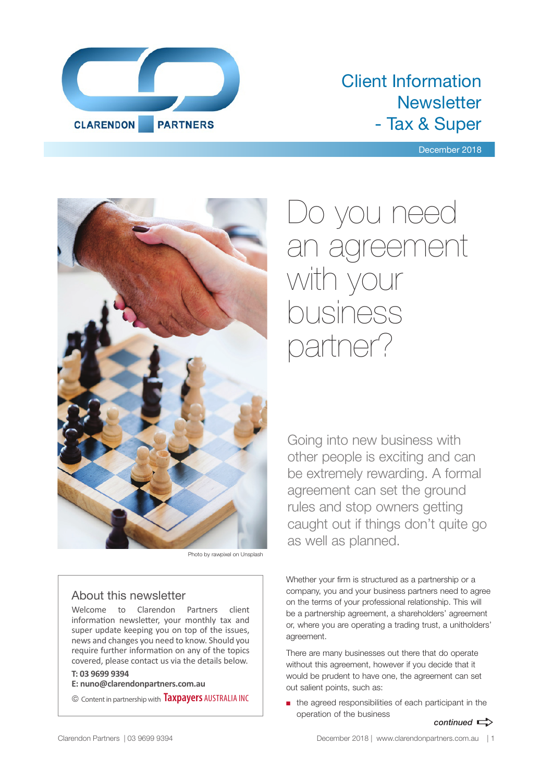

### Client Information **Newsletter** - Tax & Super

December 2018



Photo by rawpixel on Unsplash

#### About this newsletter

Welcome to Clarendon Partners client information newsletter, your monthly tax and super update keeping you on top of the issues, news and changes you need to know. Should you require further information on any of the topics covered, please contact us via the details below.

#### **T: 03 9699 9394**

**E: nuno@clarendonpartners.com.au**

© Content in partnership with **Taxpayers** AUSTRALIA INC

## Do you need an agreement with your business partner?

Going into new business with other people is exciting and can be extremely rewarding. A formal agreement can set the ground rules and stop owners getting caught out if things don't quite go as well as planned.

Whether your firm is structured as a partnership or a company, you and your business partners need to agree on the terms of your professional relationship. This will be a partnership agreement, a shareholders' agreement or, where you are operating a trading trust, a unitholders' agreement.

There are many businesses out there that do operate without this agreement, however if you decide that it would be prudent to have one, the agreement can set out salient points, such as:

■ the agreed responsibilities of each participant in the operation of the business

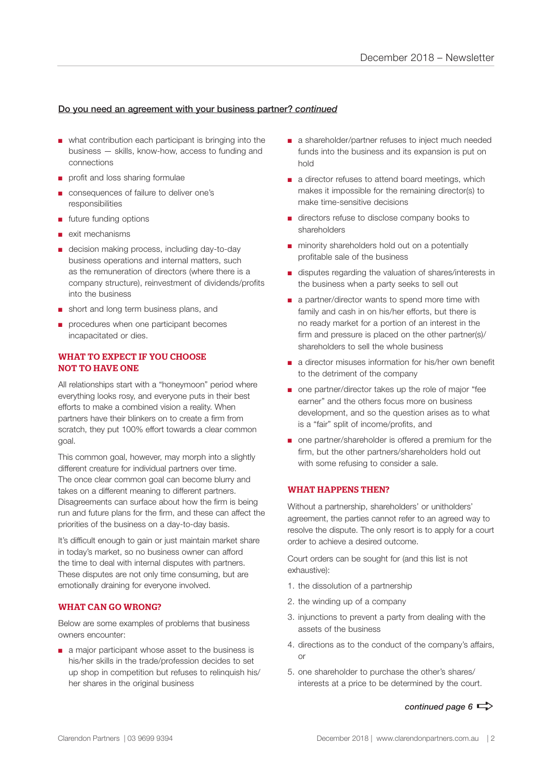#### Do you need an agreement with your business partner? *continued*

- what contribution each participant is bringing into the business — skills, know-how, access to funding and connections
- profit and loss sharing formulae
- consequences of failure to deliver one's responsibilities
- future funding options
- exit mechanisms
- decision making process, including day-to-day business operations and internal matters, such as the remuneration of directors (where there is a company structure), reinvestment of dividends/profits into the business
- short and long term business plans, and
- procedures when one participant becomes incapacitated or dies.

#### WHAT TO EXPECT IF YOU CHOOSE NOT TO HAVE ONE

All relationships start with a "honeymoon" period where everything looks rosy, and everyone puts in their best efforts to make a combined vision a reality. When partners have their blinkers on to create a firm from scratch, they put 100% effort towards a clear common goal.

This common goal, however, may morph into a slightly different creature for individual partners over time. The once clear common goal can become blurry and takes on a different meaning to different partners. Disagreements can surface about how the firm is being run and future plans for the firm, and these can affect the priorities of the business on a day-to-day basis.

It's difficult enough to gain or just maintain market share in today's market, so no business owner can afford the time to deal with internal disputes with partners. These disputes are not only time consuming, but are emotionally draining for everyone involved.

#### WHAT CAN GO WRONG?

Below are some examples of problems that business owners encounter:

■ a major participant whose asset to the business is his/her skills in the trade/profession decides to set up shop in competition but refuses to relinquish his/ her shares in the original business

- a shareholder/partner refuses to inject much needed funds into the business and its expansion is put on hold
- a director refuses to attend board meetings, which makes it impossible for the remaining director(s) to make time-sensitive decisions
- directors refuse to disclose company books to shareholders
- minority shareholders hold out on a potentially profitable sale of the business
- disputes regarding the valuation of shares/interests in the business when a party seeks to sell out
- a partner/director wants to spend more time with family and cash in on his/her efforts, but there is no ready market for a portion of an interest in the firm and pressure is placed on the other partner(s)/ shareholders to sell the whole business
- a director misuses information for his/her own benefit to the detriment of the company
- one partner/director takes up the role of major "fee earner" and the others focus more on business development, and so the question arises as to what is a "fair" split of income/profits, and
- one partner/shareholder is offered a premium for the firm, but the other partners/shareholders hold out with some refusing to consider a sale.

#### WHAT HAPPENS THEN?

Without a partnership, shareholders' or unitholders' agreement, the parties cannot refer to an agreed way to resolve the dispute. The only resort is to apply for a court order to achieve a desired outcome.

Court orders can be sought for (and this list is not exhaustive):

- 1. the dissolution of a partnership
- 2. the winding up of a company
- 3. injunctions to prevent a party from dealing with the assets of the business
- 4. directions as to the conduct of the company's affairs, or
- 5. one shareholder to purchase the other's shares/ interests at a price to be determined by the court.

*continued page 6*  $\Rightarrow$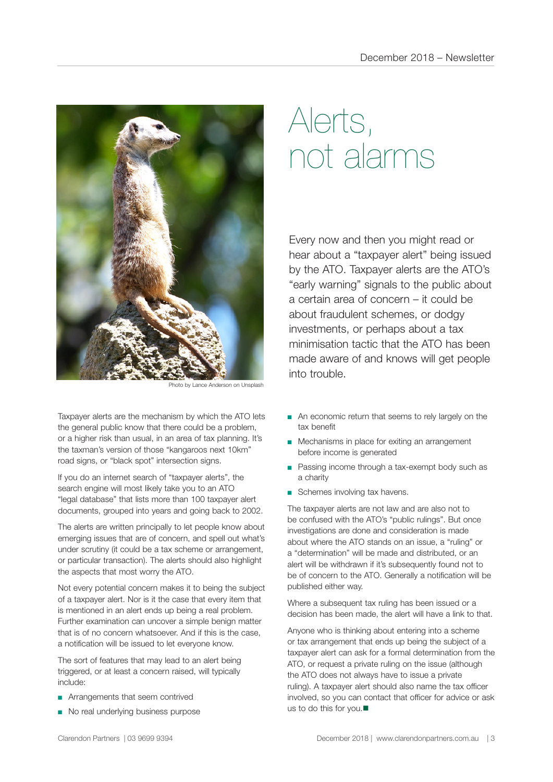

noto by Lance Anderson on Unsplach

Taxpayer alerts are the mechanism by which the ATO lets the general public know that there could be a problem, or a higher risk than usual, in an area of tax planning. It's the taxman's version of those "kangaroos next 10km" road signs, or "black spot" intersection signs.

If you do an internet search of "taxpayer alerts", the search engine will most likely take you to an ATO "legal database" that lists more than 100 taxpayer alert documents, grouped into years and going back to 2002.

The alerts are written principally to let people know about emerging issues that are of concern, and spell out what's under scrutiny (it could be a tax scheme or arrangement, or particular transaction). The alerts should also highlight the aspects that most worry the ATO.

Not every potential concern makes it to being the subject of a taxpayer alert. Nor is it the case that every item that is mentioned in an alert ends up being a real problem. Further examination can uncover a simple benign matter that is of no concern whatsoever. And if this is the case, a notification will be issued to let everyone know.

The sort of features that may lead to an alert being triggered, or at least a concern raised, will typically include:

- Arrangements that seem contrived
- No real underlying business purpose

# Alerts, not alarms

Every now and then you might read or hear about a "taxpayer alert" being issued by the ATO. Taxpayer alerts are the ATO's "early warning" signals to the public about a certain area of concern – it could be about fraudulent schemes, or dodgy investments, or perhaps about a tax minimisation tactic that the ATO has been made aware of and knows will get people into trouble.

- An economic return that seems to rely largely on the tax benefit
- Mechanisms in place for exiting an arrangement before income is generated
- Passing income through a tax-exempt body such as a charity
- Schemes involving tax havens.

The taxpayer alerts are not law and are also not to be confused with the ATO's "public rulings". But once investigations are done and consideration is made about where the ATO stands on an issue, a "ruling" or a "determination" will be made and distributed, or an alert will be withdrawn if it's subsequently found not to be of concern to the ATO. Generally a notification will be published either way.

Where a subsequent tax ruling has been issued or a decision has been made, the alert will have a link to that.

Anyone who is thinking about entering into a scheme or tax arrangement that ends up being the subject of a taxpayer alert can ask for a formal determination from the ATO, or request a private ruling on the issue (although the ATO does not always have to issue a private ruling). A taxpayer alert should also name the tax officer involved, so you can contact that officer for advice or ask us to do this for you. $\blacksquare$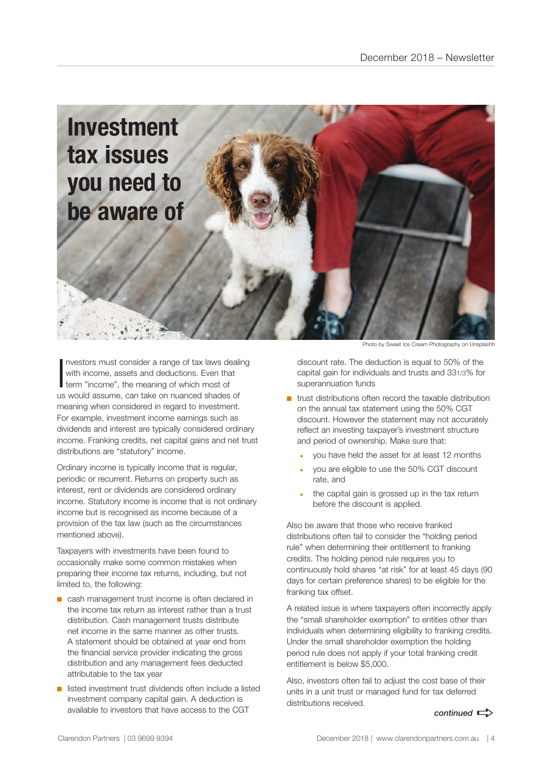

Investors must consider a range of tax laws de<br>with income, assets and deductions. Even the<br>term "income", the meaning of which most of nvestors must consider a range of tax laws dealing with income, assets and deductions. Even that us would assume, can take on nuanced shades of meaning when considered in regard to investment. For example, investment income earnings such as dividends and interest are typically considered ordinary income. Franking credits, net capital gains and net trust distributions are "statutory" income.

Ordinary income is typically income that is regular, periodic or recurrent. Returns on property such as interest, rent or dividends are considered ordinary income. Statutory income is income that is not ordinary income but is recognised as income because of a provision of the tax law (such as the circumstances mentioned above).

Taxpayers with investments have been found to occasionally make some common mistakes when preparing their income tax returns, including, but not limited to, the following:

- cash management trust income is often declared in the income tax return as interest rather than a trust distribution. Cash management trusts distribute net income in the same manner as other trusts. A statement should be obtained at year end from the financial service provider indicating the gross distribution and any management fees deducted attributable to the tax year
- listed investment trust dividends often include a listed investment company capital gain. A deduction is available to investors that have access to the CGT

Photo by Sweet Ice Cream Photography on Unsplashh

discount rate. The deduction is equal to 50% of the capital gain for individuals and trusts and 331/3% for superannuation funds

- $\blacksquare$  trust distributions often record the taxable distribution on the annual tax statement using the 50% CGT discount. However the statement may not accurately reflect an investing taxpayer's investment structure and period of ownership. Make sure that:
	- you have held the asset for at least 12 months
	- you are eligible to use the 50% CGT discount rate, and
	- the capital gain is grossed up in the tax return before the discount is applied.

Also be aware that those who receive franked distributions often fail to consider the "holding period rule" when determining their entitlement to franking credits. The holding period rule requires you to continuously hold shares "at risk" for at least 45 days (90 days for certain preference shares) to be eligible for the franking tax offset.

A related issue is where taxpayers often incorrectly apply the "small shareholder exemption" to entities other than individuals when determining eligibility to franking credits. Under the small shareholder exemption the holding period rule does not apply if your total franking credit entitlement is below \$5,000.

Also, investors often fail to adjust the cost base of their units in a unit trust or managed fund for tax deferred distributions received.

#### $control \implies$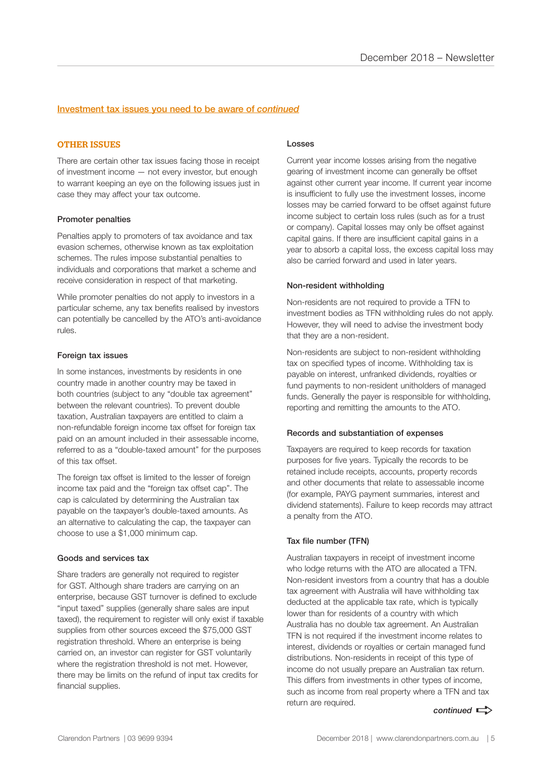#### Investment tax issues you need to be aware of *continued*

#### OTHER ISSUES

There are certain other tax issues facing those in receipt of investment income — not every investor, but enough to warrant keeping an eye on the following issues just in case they may affect your tax outcome.

#### Promoter penalties

Penalties apply to promoters of tax avoidance and tax evasion schemes, otherwise known as tax exploitation schemes. The rules impose substantial penalties to individuals and corporations that market a scheme and receive consideration in respect of that marketing.

While promoter penalties do not apply to investors in a particular scheme, any tax benefits realised by investors can potentially be cancelled by the ATO's anti-avoidance rules.

#### Foreign tax issues

In some instances, investments by residents in one country made in another country may be taxed in both countries (subject to any "double tax agreement" between the relevant countries). To prevent double taxation, Australian taxpayers are entitled to claim a non-refundable foreign income tax offset for foreign tax paid on an amount included in their assessable income, referred to as a "double-taxed amount" for the purposes of this tax offset.

The foreign tax offset is limited to the lesser of foreign income tax paid and the "foreign tax offset cap". The cap is calculated by determining the Australian tax payable on the taxpayer's double-taxed amounts. As an alternative to calculating the cap, the taxpayer can choose to use a \$1,000 minimum cap.

#### Goods and services tax

Share traders are generally not required to register for GST. Although share traders are carrying on an enterprise, because GST turnover is defined to exclude "input taxed" supplies (generally share sales are input taxed), the requirement to register will only exist if taxable supplies from other sources exceed the \$75,000 GST registration threshold. Where an enterprise is being carried on, an investor can register for GST voluntarily where the registration threshold is not met. However, there may be limits on the refund of input tax credits for financial supplies.

#### Losses

Current year income losses arising from the negative gearing of investment income can generally be offset against other current year income. If current year income is insufficient to fully use the investment losses, income losses may be carried forward to be offset against future income subject to certain loss rules (such as for a trust or company). Capital losses may only be offset against capital gains. If there are insufficient capital gains in a year to absorb a capital loss, the excess capital loss may also be carried forward and used in later years.

#### Non-resident withholding

Non-residents are not required to provide a TFN to investment bodies as TFN withholding rules do not apply. However, they will need to advise the investment body that they are a non-resident.

Non-residents are subject to non-resident withholding tax on specified types of income. Withholding tax is payable on interest, unfranked dividends, royalties or fund payments to non-resident unitholders of managed funds. Generally the payer is responsible for withholding, reporting and remitting the amounts to the ATO.

#### Records and substantiation of expenses

Taxpayers are required to keep records for taxation purposes for five years. Typically the records to be retained include receipts, accounts, property records and other documents that relate to assessable income (for example, PAYG payment summaries, interest and dividend statements). Failure to keep records may attract a penalty from the ATO.

#### Tax file number (TFN)

Australian taxpayers in receipt of investment income who lodge returns with the ATO are allocated a TFN. Non-resident investors from a country that has a double tax agreement with Australia will have withholding tax deducted at the applicable tax rate, which is typically lower than for residents of a country with which Australia has no double tax agreement. An Australian TFN is not required if the investment income relates to interest, dividends or royalties or certain managed fund distributions. Non-residents in receipt of this type of income do not usually prepare an Australian tax return. This differs from investments in other types of income, such as income from real property where a TFN and tax return are required.

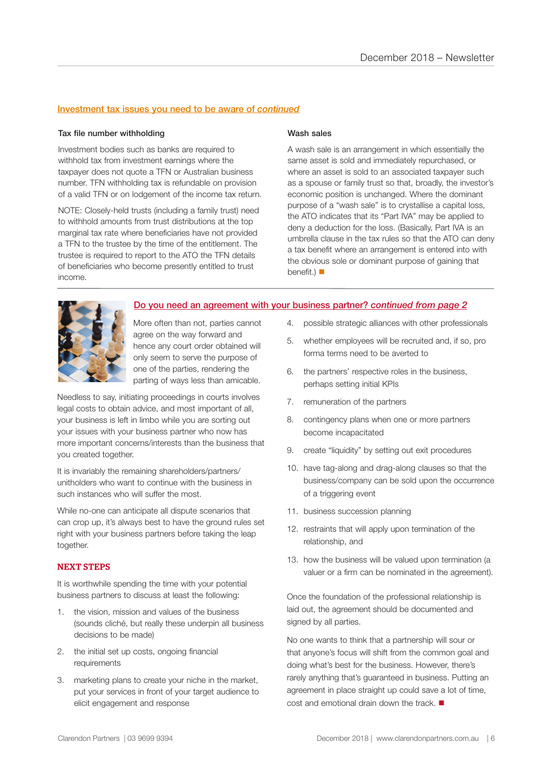#### Investment tax issues you need to be aware of *continued*

#### Tax file number withholding

Investment bodies such as banks are required to withhold tax from investment earnings where the taxpayer does not quote a TFN or Australian business number. TFN withholding tax is refundable on provision of a valid TFN or on lodgement of the income tax return.

NOTE: Closely-held trusts (including a family trust) need to withhold amounts from trust distributions at the top marginal tax rate where beneficiaries have not provided a TFN to the trustee by the time of the entitlement. The trustee is required to report to the ATO the TFN details of beneficiaries who become presently entitled to trust income.

#### Wash sales

A wash sale is an arrangement in which essentially the same asset is sold and immediately repurchased, or where an asset is sold to an associated taxpayer such as a spouse or family trust so that, broadly, the investor's economic position is unchanged. Where the dominant purpose of a "wash sale" is to crystallise a capital loss, the ATO indicates that its "Part IVA" may be applied to deny a deduction for the loss. (Basically, Part IVA is an umbrella clause in the tax rules so that the ATO can deny a tax benefit where an arrangement is entered into with the obvious sole or dominant purpose of gaining that benefit.)  $\blacksquare$ 



Do you need an agreement with your business partner? *continued from page 2*

More often than not, parties cannot agree on the way forward and hence any court order obtained will only seem to serve the purpose of one of the parties, rendering the parting of ways less than amicable.

Needless to say, initiating proceedings in courts involves legal costs to obtain advice, and most important of all, your business is left in limbo while you are sorting out your issues with your business partner who now has more important concerns/interests than the business that you created together.

It is invariably the remaining shareholders/partners/ unitholders who want to continue with the business in such instances who will suffer the most.

While no-one can anticipate all dispute scenarios that can crop up, it's always best to have the ground rules set right with your business partners before taking the leap together.

#### NEXT STEPS

It is worthwhile spending the time with your potential business partners to discuss at least the following:

- 1. the vision, mission and values of the business (sounds cliché, but really these underpin all business decisions to be made)
- 2. the initial set up costs, ongoing financial requirements
- 3. marketing plans to create your niche in the market, put your services in front of your target audience to elicit engagement and response
- 4. possible strategic alliances with other professionals
- 5. whether employees will be recruited and, if so, pro forma terms need to be averted to
- 6. the partners' respective roles in the business, perhaps setting initial KPIs
- 7. remuneration of the partners
- 8. contingency plans when one or more partners become incapacitated
- 9. create "liquidity" by setting out exit procedures
- 10. have tag-along and drag-along clauses so that the business/company can be sold upon the occurrence of a triggering event
- 11. business succession planning
- 12. restraints that will apply upon termination of the relationship, and
- 13. how the business will be valued upon termination (a valuer or a firm can be nominated in the agreement).

Once the foundation of the professional relationship is laid out, the agreement should be documented and signed by all parties.

No one wants to think that a partnership will sour or that anyone's focus will shift from the common goal and doing what's best for the business. However, there's rarely anything that's guaranteed in business. Putting an agreement in place straight up could save a lot of time, cost and emotional drain down the track.  $\blacksquare$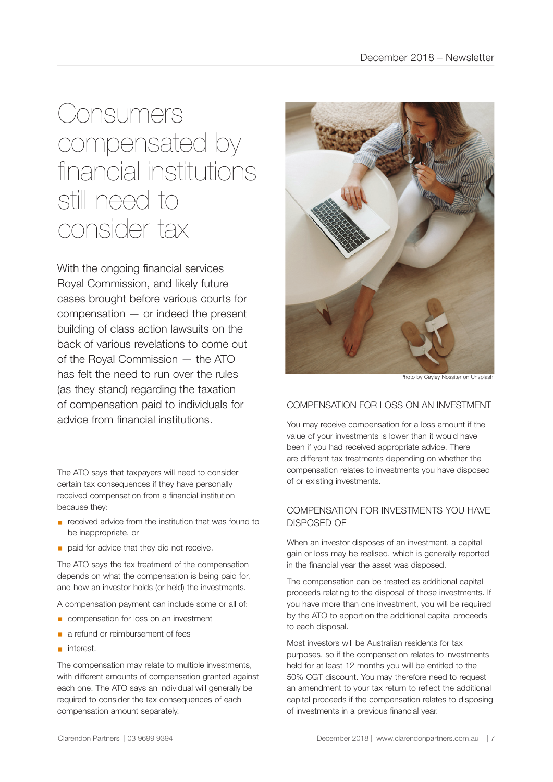### **Consumers** compensated by financial institutions still need to consider tax

With the ongoing financial services Royal Commission, and likely future cases brought before various courts for compensation — or indeed the present building of class action lawsuits on the back of various revelations to come out of the Royal Commission — the ATO has felt the need to run over the rules (as they stand) regarding the taxation of compensation paid to individuals for advice from financial institutions.

The ATO says that taxpayers will need to consider certain tax consequences if they have personally received compensation from a financial institution because they:

- received advice from the institution that was found to be inappropriate, or
- **•** paid for advice that they did not receive.

The ATO says the tax treatment of the compensation depends on what the compensation is being paid for, and how an investor holds (or held) the investments.

A compensation payment can include some or all of:

- compensation for loss on an investment
- a refund or reimbursement of fees
- interest.

The compensation may relate to multiple investments, with different amounts of compensation granted against each one. The ATO says an individual will generally be required to consider the tax consequences of each compensation amount separately.



Photo by Cayley Nossiter on Unsplash

#### COMPENSATION FOR LOSS ON AN INVESTMENT

You may receive compensation for a loss amount if the value of your investments is lower than it would have been if you had received appropriate advice. There are different tax treatments depending on whether the compensation relates to investments you have disposed of or existing investments.

#### COMPENSATION FOR INVESTMENTS YOU HAVE DISPOSED OF

When an investor disposes of an investment, a capital gain or loss may be realised, which is generally reported in the financial year the asset was disposed.

The compensation can be treated as additional capital proceeds relating to the disposal of those investments. If you have more than one investment, you will be required by the ATO to apportion the additional capital proceeds to each disposal.

Most investors will be Australian residents for tax purposes, so if the compensation relates to investments held for at least 12 months you will be entitled to the 50% CGT discount. You may therefore need to request an amendment to your tax return to reflect the additional capital proceeds if the compensation relates to disposing of investments in a previous financial year.